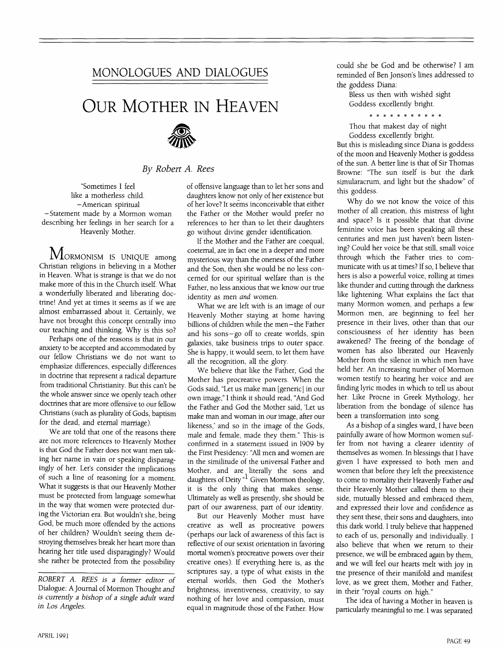## **MONOLOGUES AND DIALOGUES**

## **OUR MOTHER IN HEAVEN**



*By Robert A. Rees*

"Sometimes I feel like a motherless child. -American spiritual -Statement made by a Mormon woman describing her feelings in her search for a Heavenly Mother.

MORMONISM IS UNIQUE among Christian religions in believing in a Mother in Heaven. What is strange is that we do not make more of this in the Church itself. What a wonderfully liberated and liberating doctrine! And yet at times it seems as if we are almost embarrassed about it. Certainly, we have not brought this concept centrally into our teaching and thinking. Why is this so?

Perhaps one of the reasons is that in our anxiety to be accepted and accommodated by our fellow Christians we do not want to emphasize differences, especially differences in doctrine that represent a radical departure from traditional Christianity. But this can't be the whole answer since we openly teach other doctrines that are more offensive to our fellow Christians (such as plurality of Gods, baptism for the dead, and eternal marriage).

We are told that one of the reasons there are not more references to Heavenly Mother is that God the Father does not want men taking her name in vain or speaking disparagingly of her. Let's consider the implications of such a line of reasoning for a moment. What it suggests is that our Heavenly Mother must be protected from language somewhat in the way that women were protected during the Victorian era. But wouldn't she, being God, be much more offended by the actions of her children? Wouldn't seeing them destroying themselves break her heart more than hearing her title used disparagingly? Would she rather be protected from the possibility

*ROBERT A. REES is a Former editor oF* Dialogue: A Journal of Mormon Thought *and is currently a bishop of a single adult ward in Los Angeles.*

of offensive language than to let her sons and daughters know not only of her existence but of her love? It seems inconceivable that either the Father or the Mother would prefer no references to her than to let their daughters go without divine gender identification.

If the Mother and the Father are coequal, coeternal, are in fact one in a deeper and more mysterious way than the oneness of the Father and the Son, then she would be no less concerned for our spiritual welfare than is the Father, no less anxious that we know our true identity as men *and* women.

What we are left with is an image of our Heavenly Mother staying at home having billions of children while the men- the Father and his sons-go off to create worlds, spin galaxies, take business trips to outer space. She is happy, it would seem, to let them have all the recognition, all the glory.

We believe that like the Father, God the Mother has procreative powers. When the Gods said, "Let us make man [generic] in our own image," I think it should read, "And God the Father and God the Mother said, 'Let us make man and woman in our image, after our likeness,' and so in the image of the Gods, male and female, made they them." This-is confirmed in a statement issued in 1909 by the First Presidency: "All men and women are in the similitude of the universal Father and Mother, and are literally the sons and daughters of Deity  $\alpha$ <sup>1</sup> Given Mormon theology, it is the only thing that makes sense. Ultimately as well as presently, she should be part of our awareness, part of our identity.

But our Heavenly Mother must have creative as well as procreative powers (perhaps our lack of awareness of this fact is reflective of our sexist orientation in favoring mortal women's procreative powers over their creative ones). If everything here is, as the scriptures say, a type of what exists in the eternal worlds, then God the Mother's brightness, inventiveness, creativity, to say nothing of .her love and compassion, must equal in magnitude those of the Father. How

could she be God and be otherwise? I am reminded of Ben Jonson's lines addressed to the goddess Diana:

Bless us then with wished sight Goddess excellently bright.

\* \* \* \* \* \* \* \* \* \* \*

Thou that makest day of night Goddess excellently bright.

But this is misleading since Diana is goddess of the moon and Heavenly Mother is goddess of the sun. A better line is that of Sir Thomas Browne: "The sun itself is but the dark simularacrum, and light but the shadow" of this goddess.

Why do we not know the voice of this mother of all creation, this mistress of light and space? Is it possible that that divine feminine voice has been speaking all these centuries and men just haven't been listening? Could her voice be that still, small voice through which the Father tries to communicate with us at times? If so, I believe that hers is also a powerful voice, rolling at times like thunder and cutting through the darkness like lightening. What explains the fact that many Mormon women, and perhaps a few Mormon men, are beginning to feel her presence in their lives, other than that our consciousness of her identity has been awakened? The freeing of the bondage of women has also liberated our Heavenly Mother from the silence in which men have held her. An increasing number of Mormon women testify to hearing her voice and are finding lyric modes in which to tell us about her. Like Procne in Greek Mythology, her liberation from the bondage of silence has been a transformation into song.

As a bishop of a singles ward, I have been painfully aware of how Mormon women suffer from not having a clearer identity of themselves as women. In blessings that I have given I have expressed to both men and women that before they left the preexistence to come to mortality their Heavenly Father *and* their Heavenly Mother called them to their side, mutually blessed and embraced them, and expressed their love and confidence as they sent these, their sons and daughters, into this dark world. I truly believe that happened to each of us, personally and individually. I also believe that when we return to their presence, we will be embraced again by them, and we will feel our hearts melt with joy in the presence of their manifold and manifest love, as we greet them, Mother and Father, in their "royal courts on high."

The idea of having a Mother in heaven is particularly meaningful to me. I was separated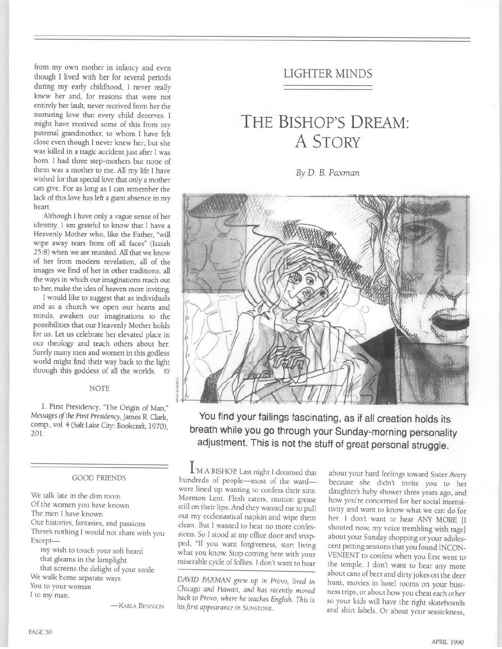from my own mother in infancy and even though I lived with her for several periods during my early childhood, I never really knew her and, for reasons that were not entirely her fault, never received from her the nurturing love that every child deserves. I might have received some of this from my paternal grandmother, to whom I have felt close even though I never knew her; but she was killed in a tragic accident just after I was bom. I had three step-mothers but none of them was a mother to me. All my life I have wished for that special love that only a mother can give. For as long as I can remember the lack of this love has left a giant absence in my heart.

Although I have only a vague sense of her identity, I am grateful to know that I have a Heavenly Mother who, like the Father, "will wipe away tears from off all faces" (Isaiah 25:8) when we are reunited. All that we know of her from modem revelation, all of the images we find of her in other traditions, all the ways in which our imaginations reach out to her, make the idea of heaven more inviting.

I would like to suggest that as individuals and as a church we open our hearts and minds, awaken our imaginations to the possibilities that our Heavenly Mother holds for us. Let us celebrate her elevated place in our theology and teach others about her. Surely many men and women in this godless world might find their way back to the light through this goddess of all the worlds.  $\Box$ 

#### NOTE

1. First Presidency, "The Origin of Man," *Messages of the First Presidency,* James R. Clark, comp., vol. 4 (Salt Lake City: Bookcraft, 1970), 201.

#### GOOD FRIENDS

We talk late in the dim room Of the women you have known The men I have known Our histories, fantasies, and passions There's nothing I would not share with you Exceptmy wish to touch your soft beard

that gleams in the lamplight that screens the delight of your smile We walk home separate ways You to your woman I to my man.

-KARLA BENNION

## **LIGHTER MINDS**

# THE BISHOP'S DREAM: **A STORY**

*By D. B. Paxman*



**You find your failings fascinating, as if all creation holds its breath while you go through your Sunday-morning personality adjustment. This is not the stuff of great personal struggle.**

I'M A BISHOP. Last night I dreamed that hundreds of people-most of the wardwere lined up wanting to confess their sins. Mormon Lent. Flesh eaters, mutton grease still on their lips. And they wanted me to pull out my ecclesiastical napkin and wipe them clean. But I wanted to hear no more confessions. So I stood at my office door and snapped, "If you want forgiveness, start living what you know. Stop coming here with your miserable cycle of follies. I don't want to hear

*DAVID PAXMAN grew up in Provo, lived in Chicago and Hawaii, and has recently moved back to Provo, where he teaches English. This is his first appearance in SUNSTONE.* 

about your hard feelings toward Sister Avery because she didn't invite you to her daughter's baby shower three years ago, and how you're concerned for her social insensitivity and want to know what we can do for her. I don't want to hear ANY MORE [I shouted now, my voice trembling with rage] about your Sunday shopping or your adolescent petting sessions that you found INCON-VENIENT to confess when you first went to the temple. I don't want to hear any more about cans of beer and dirty jokes on the deer hunt, movies in hotel rooms on your business trips, or about how you cheat each other so your kids will have the right skateboards and shirt labels. Or about your seasickness,